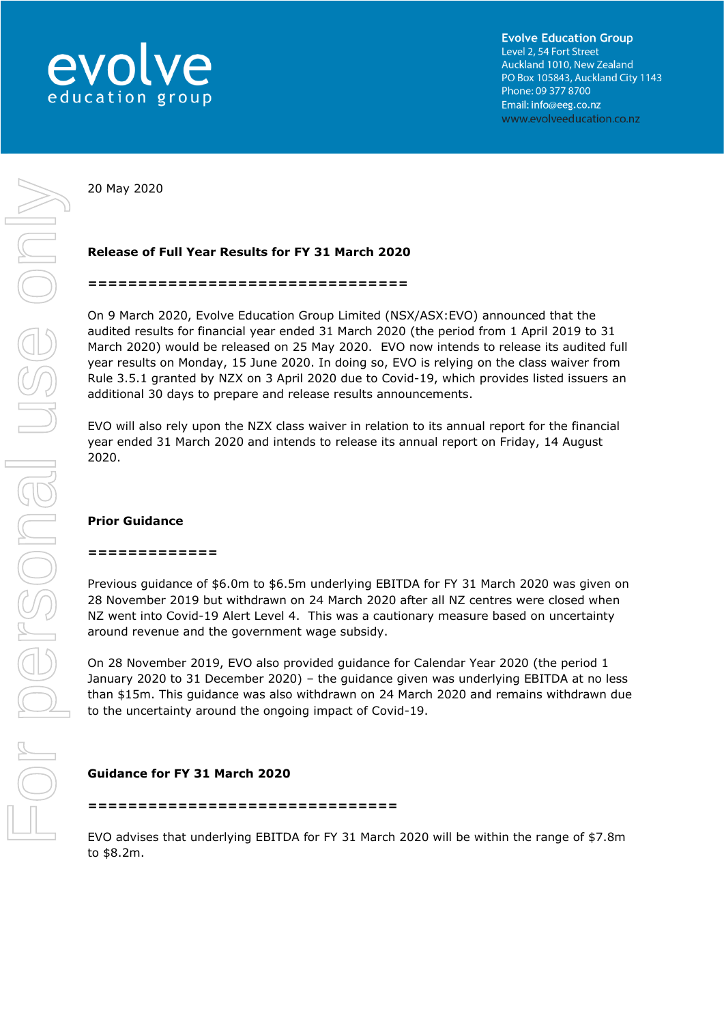

20 May 2020

# **Release of Full Year Results for FY 31 March 2020**

#### **================================**

On 9 March 2020, Evolve Education Group Limited (NSX/ASX:EVO) announced that the audited results for financial year ended 31 March 2020 (the period from 1 April 2019 to 31 March 2020) would be released on 25 May 2020. EVO now intends to release its audited full year results on Monday, 15 June 2020. In doing so, EVO is relying on the class waiver from Rule 3.5.1 granted by NZX on 3 April 2020 due to Covid-19, which provides listed issuers an additional 30 days to prepare and release results announcements.

EVO will also rely upon the NZX class waiver in relation to its annual report for the financial year ended 31 March 2020 and intends to release its annual report on Friday, 14 August 2020.

### **Prior Guidance**

#### **=============**

Previous guidance of \$6.0m to \$6.5m underlying EBITDA for FY 31 March 2020 was given on 28 November 2019 but withdrawn on 24 March 2020 after all NZ centres were closed when NZ went into Covid-19 Alert Level 4. This was a cautionary measure based on uncertainty around revenue and the government wage subsidy.

On 28 November 2019, EVO also provided guidance for Calendar Year 2020 (the period 1 January 2020 to 31 December 2020) – the guidance given was underlying EBITDA at no less than \$15m. This guidance was also withdrawn on 24 March 2020 and remains withdrawn due to the uncertainty around the ongoing impact of Covid-19.

## **Guidance for FY 31 March 2020**

**===============================**

EVO advises that underlying EBITDA for FY 31 March 2020 will be within the range of \$7.8m to \$8.2m.